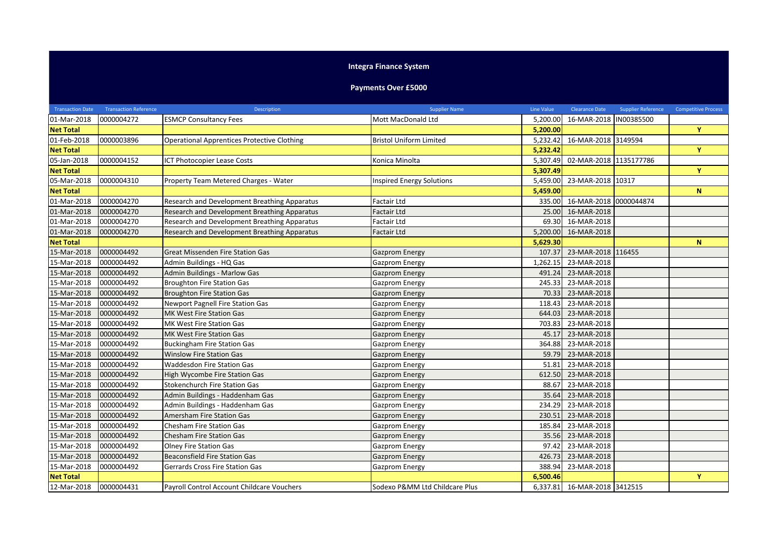## **Integra Finance System**

## **Payments Over £5000**

| <b>Transaction Date</b> | <b>Transaction Reference</b> | Description                                        | <b>Supplier Name</b>             | Line Value | <b>Clearance Date</b>        | <b>Supplier Reference</b> | <b>Competitive Process</b> |
|-------------------------|------------------------------|----------------------------------------------------|----------------------------------|------------|------------------------------|---------------------------|----------------------------|
| 01-Mar-2018             | 0000004272                   | <b>ESMCP Consultancy Fees</b>                      | Mott MacDonald Ltd               | 5,200.00   | 16-MAR-2018  IN00385500      |                           |                            |
| <b>Net Total</b>        |                              |                                                    |                                  | 5,200.00   |                              |                           | Y                          |
| 01-Feb-2018             | 0000003896                   | <b>Operational Apprentices Protective Clothing</b> | <b>Bristol Uniform Limited</b>   | 5,232.42   | 16-MAR-2018 3149594          |                           |                            |
| <b>Net Total</b>        |                              |                                                    |                                  | 5.232.42   |                              |                           | Y                          |
| 05-Jan-2018             | 0000004152                   | <b>ICT Photocopier Lease Costs</b>                 | Konica Minolta                   | 5,307.49   | 02-MAR-2018 1135177786       |                           |                            |
| <b>Net Total</b>        |                              |                                                    |                                  | 5,307.49   |                              |                           | Y                          |
| 05-Mar-2018             | 0000004310                   | Property Team Metered Charges - Water              | <b>Inspired Energy Solutions</b> | 5,459.00   | 23-MAR-2018 10317            |                           |                            |
| <b>Net Total</b>        |                              |                                                    |                                  | 5,459.00   |                              |                           | N                          |
| 01-Mar-2018             | 0000004270                   | Research and Development Breathing Apparatus       | <b>Factair Ltd</b>               | 335.00     | 16-MAR-2018 0000044874       |                           |                            |
| 01-Mar-2018             | 0000004270                   | Research and Development Breathing Apparatus       | <b>Factair Ltd</b>               | 25.00      | 16-MAR-2018                  |                           |                            |
| 01-Mar-2018             | 0000004270                   | Research and Development Breathing Apparatus       | <b>Factair Ltd</b>               | 69.30      | 16-MAR-2018                  |                           |                            |
| 01-Mar-2018             | 0000004270                   | Research and Development Breathing Apparatus       | <b>Factair Ltd</b>               | 5,200.00   | 16-MAR-2018                  |                           |                            |
| <b>Net Total</b>        |                              |                                                    |                                  | 5,629.30   |                              |                           | N                          |
| 15-Mar-2018             | 0000004492                   | <b>Great Missenden Fire Station Gas</b>            | <b>Gazprom Energy</b>            | 107.37     | 23-MAR-2018 116455           |                           |                            |
| 15-Mar-2018             | 0000004492                   | Admin Buildings - HQ Gas                           | Gazprom Energy                   | 1,262.15   | 23-MAR-2018                  |                           |                            |
| 15-Mar-2018             | 0000004492                   | <b>Admin Buildings - Marlow Gas</b>                | <b>Gazprom Energy</b>            | 491.24     | 23-MAR-2018                  |                           |                            |
| 15-Mar-2018             | 0000004492                   | <b>Broughton Fire Station Gas</b>                  | Gazprom Energy                   | 245.33     | 23-MAR-2018                  |                           |                            |
| 15-Mar-2018             | 0000004492                   | <b>Broughton Fire Station Gas</b>                  | Gazprom Energy                   | 70.33      | 23-MAR-2018                  |                           |                            |
| 15-Mar-2018             | 0000004492                   | <b>Newport Pagnell Fire Station Gas</b>            | Gazprom Energy                   | 118.43     | 23-MAR-2018                  |                           |                            |
| 15-Mar-2018             | 0000004492                   | MK West Fire Station Gas                           | <b>Gazprom Energy</b>            | 644.03     | 23-MAR-2018                  |                           |                            |
| 15-Mar-2018             | 0000004492                   | MK West Fire Station Gas                           | Gazprom Energy                   | 703.83     | 23-MAR-2018                  |                           |                            |
| 15-Mar-2018             | 0000004492                   | MK West Fire Station Gas                           | <b>Gazprom Energy</b>            | 45.17      | 23-MAR-2018                  |                           |                            |
| 15-Mar-2018             | 0000004492                   | <b>Buckingham Fire Station Gas</b>                 | <b>Gazprom Energy</b>            | 364.88     | 23-MAR-2018                  |                           |                            |
| 15-Mar-2018             | 0000004492                   | <b>Winslow Fire Station Gas</b>                    | <b>Gazprom Energy</b>            | 59.79      | 23-MAR-2018                  |                           |                            |
| 15-Mar-2018             | 0000004492                   | <b>Waddesdon Fire Station Gas</b>                  | Gazprom Energy                   | 51.81      | 23-MAR-2018                  |                           |                            |
| 15-Mar-2018             | 0000004492                   | High Wycombe Fire Station Gas                      | <b>Gazprom Energy</b>            | 612.50     | 23-MAR-2018                  |                           |                            |
| 15-Mar-2018             | 0000004492                   | Stokenchurch Fire Station Gas                      | Gazprom Energy                   | 88.67      | 23-MAR-2018                  |                           |                            |
| 15-Mar-2018             | 0000004492                   | Admin Buildings - Haddenham Gas                    | <b>Gazprom Energy</b>            | 35.64      | 23-MAR-2018                  |                           |                            |
| 15-Mar-2018             | 0000004492                   | Admin Buildings - Haddenham Gas                    | Gazprom Energy                   | 234.29     | 23-MAR-2018                  |                           |                            |
| 15-Mar-2018             | 0000004492                   | Amersham Fire Station Gas                          | <b>Gazprom Energy</b>            | 230.51     | 23-MAR-2018                  |                           |                            |
| 15-Mar-2018             | 0000004492                   | Chesham Fire Station Gas                           | Gazprom Energy                   | 185.84     | 23-MAR-2018                  |                           |                            |
| 15-Mar-2018             | 0000004492                   | Chesham Fire Station Gas                           | <b>Gazprom Energy</b>            | 35.56      | 23-MAR-2018                  |                           |                            |
| 15-Mar-2018             | 0000004492                   | <b>Olney Fire Station Gas</b>                      | Gazprom Energy                   | 97.42      | 23-MAR-2018                  |                           |                            |
| 15-Mar-2018             | 0000004492                   | <b>Beaconsfield Fire Station Gas</b>               | Gazprom Energy                   | 426.73     | 23-MAR-2018                  |                           |                            |
| 15-Mar-2018             | 0000004492                   | Gerrards Cross Fire Station Gas                    | Gazprom Energy                   | 388.94     | 23-MAR-2018                  |                           |                            |
| <b>Net Total</b>        |                              |                                                    |                                  | 6,500.46   |                              |                           | Y                          |
| 12-Mar-2018             | 0000004431                   | Payroll Control Account Childcare Vouchers         | Sodexo P&MM Ltd Childcare Plus   |            | 6,337.81 16-MAR-2018 3412515 |                           |                            |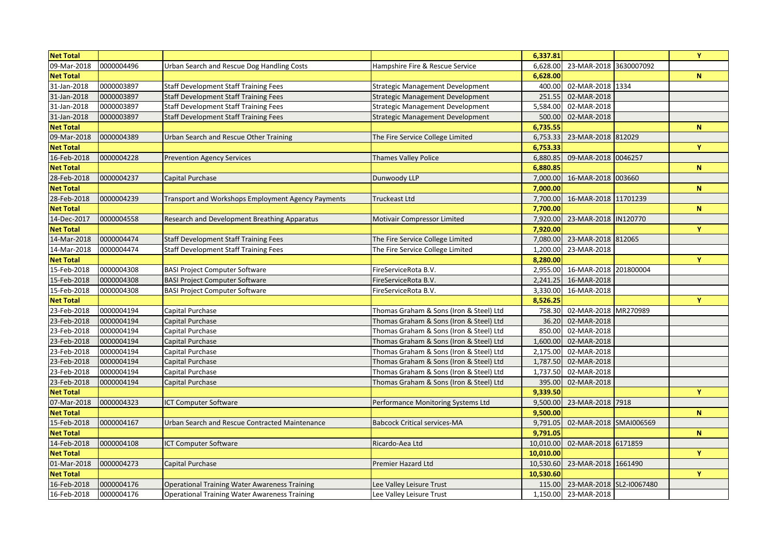| <b>Net Total</b> |            |                                                      |                                         | 6,337.81                           | Y           |
|------------------|------------|------------------------------------------------------|-----------------------------------------|------------------------------------|-------------|
| 09-Mar-2018      | 0000004496 | Urban Search and Rescue Dog Handling Costs           | Hampshire Fire & Rescue Service         | 23-MAR-2018 3630007092<br>6,628.00 |             |
| <b>Net Total</b> |            |                                                      |                                         | 6,628.00                           | $\mathbf N$ |
| 31-Jan-2018      | 0000003897 | <b>Staff Development Staff Training Fees</b>         | <b>Strategic Management Development</b> | 02-MAR-2018 1334<br>400.00         |             |
| 31-Jan-2018      | 0000003897 | <b>Staff Development Staff Training Fees</b>         | Strategic Management Development        | 251.55<br>02-MAR-2018              |             |
| 31-Jan-2018      | 0000003897 | <b>Staff Development Staff Training Fees</b>         | <b>Strategic Management Development</b> | 5,584.00<br>02-MAR-2018            |             |
| 31-Jan-2018      | 0000003897 | <b>Staff Development Staff Training Fees</b>         | <b>Strategic Management Development</b> | 02-MAR-2018<br>500.00              |             |
| <b>Net Total</b> |            |                                                      |                                         | 6,735.55                           | $\mathbf N$ |
| 09-Mar-2018      | 0000004389 | Urban Search and Rescue Other Training               | The Fire Service College Limited        | 23-MAR-2018 812029<br>6,753.33     |             |
| <b>Net Total</b> |            |                                                      |                                         | 6,753.33                           | Y           |
| 16-Feb-2018      | 0000004228 | <b>Prevention Agency Services</b>                    | Thames Valley Police                    | 09-MAR-2018 0046257<br>6,880.85    |             |
| <b>Net Total</b> |            |                                                      |                                         | 6,880.85                           | $\mathbf N$ |
| 28-Feb-2018      | 0000004237 | Capital Purchase                                     | Dunwoody LLP                            | 7,000.00<br>16-MAR-2018 003660     |             |
| <b>Net Total</b> |            |                                                      |                                         | 7,000.00                           | $\mathbf N$ |
| 28-Feb-2018      | 0000004239 | Transport and Workshops Employment Agency Payments   | <b>Truckeast Ltd</b>                    | 16-MAR-2018 11701239<br>7,700.00   |             |
| <b>Net Total</b> |            |                                                      |                                         | 7,700.00                           | $\mathbf N$ |
| 14-Dec-2017      | 0000004558 | Research and Development Breathing Apparatus         | Motivair Compressor Limited             | 23-MAR-2018 IN120770<br>7,920.00   |             |
| <b>Net Total</b> |            |                                                      |                                         | 7,920.00                           | Y           |
| 14-Mar-2018      | 0000004474 | <b>Staff Development Staff Training Fees</b>         | The Fire Service College Limited        | 7,080.00<br>23-MAR-2018 812065     |             |
| 14-Mar-2018      | 0000004474 | <b>Staff Development Staff Training Fees</b>         | The Fire Service College Limited        | 1,200.00<br>23-MAR-2018            |             |
| <b>Net Total</b> |            |                                                      |                                         | 8,280.00                           | Y           |
| 15-Feb-2018      | 0000004308 | <b>BASI Project Computer Software</b>                | FireServiceRota B.V.                    | 2,955.00 16-MAR-2018 201800004     |             |
| 15-Feb-2018      | 0000004308 | <b>BASI Project Computer Software</b>                | FireServiceRota B.V.                    | 2,241.25<br>16-MAR-2018            |             |
| 15-Feb-2018      | 0000004308 | <b>BASI Project Computer Software</b>                | FireServiceRota B.V.                    | 3,330.00<br>16-MAR-2018            |             |
| <b>Net Total</b> |            |                                                      |                                         | 8,526.25                           | Y           |
| 23-Feb-2018      | 0000004194 | Capital Purchase                                     | Thomas Graham & Sons (Iron & Steel) Ltd | 02-MAR-2018 MR270989<br>758.30     |             |
| 23-Feb-2018      | 0000004194 | Capital Purchase                                     | Thomas Graham & Sons (Iron & Steel) Ltd | 36.20<br>02-MAR-2018               |             |
| 23-Feb-2018      | 0000004194 | Capital Purchase                                     | Thomas Graham & Sons (Iron & Steel) Ltd | 02-MAR-2018<br>850.00              |             |
| 23-Feb-2018      | 0000004194 | Capital Purchase                                     | Thomas Graham & Sons (Iron & Steel) Ltd | 1,600.00<br>02-MAR-2018            |             |
| 23-Feb-2018      | 0000004194 | Capital Purchase                                     | Thomas Graham & Sons (Iron & Steel) Ltd | 2,175.00<br>02-MAR-2018            |             |
| 23-Feb-2018      | 0000004194 | Capital Purchase                                     | Thomas Graham & Sons (Iron & Steel) Ltd | 1,787.50<br>02-MAR-2018            |             |
| 23-Feb-2018      | 0000004194 | Capital Purchase                                     | Thomas Graham & Sons (Iron & Steel) Ltd | 1,737.50<br>02-MAR-2018            |             |
| 23-Feb-2018      | 0000004194 | Capital Purchase                                     | Thomas Graham & Sons (Iron & Steel) Ltd | 02-MAR-2018<br>395.00              |             |
| <b>Net Total</b> |            |                                                      |                                         | 9,339.50                           | Y           |
| 07-Mar-2018      | 0000004323 | <b>ICT Computer Software</b>                         | Performance Monitoring Systems Ltd      | 23-MAR-2018 7918<br>9,500.00       |             |
| <b>Net Total</b> |            |                                                      |                                         | 9,500.00                           | ${\bf N}$   |
| 15-Feb-2018      | 0000004167 | Urban Search and Rescue Contracted Maintenance       | <b>Babcock Critical services-MA</b>     | 02-MAR-2018 SMAI006569<br>9,791.05 |             |
| <b>Net Total</b> |            |                                                      |                                         | 9,791.05                           | ${\bf N}$   |
| 14-Feb-2018      | 0000004108 | <b>ICT Computer Software</b>                         | Ricardo-Aea Ltd                         | 10,010.00<br>02-MAR-2018 6171859   |             |
| <b>Net Total</b> |            |                                                      |                                         | 10,010.00                          | Y           |
| 01-Mar-2018      | 0000004273 | Capital Purchase                                     | <b>Premier Hazard Ltd</b>               | 23-MAR-2018 1661490<br>10,530.60   |             |
| <b>Net Total</b> |            |                                                      |                                         | 10,530.60                          | $\mathbf Y$ |
| 16-Feb-2018      | 0000004176 | <b>Operational Training Water Awareness Training</b> | Lee Valley Leisure Trust                | 115.00 23-MAR-2018 SL2-I0067480    |             |
| 16-Feb-2018      | 0000004176 | <b>Operational Training Water Awareness Training</b> | Lee Valley Leisure Trust                | 1,150.00 23-MAR-2018               |             |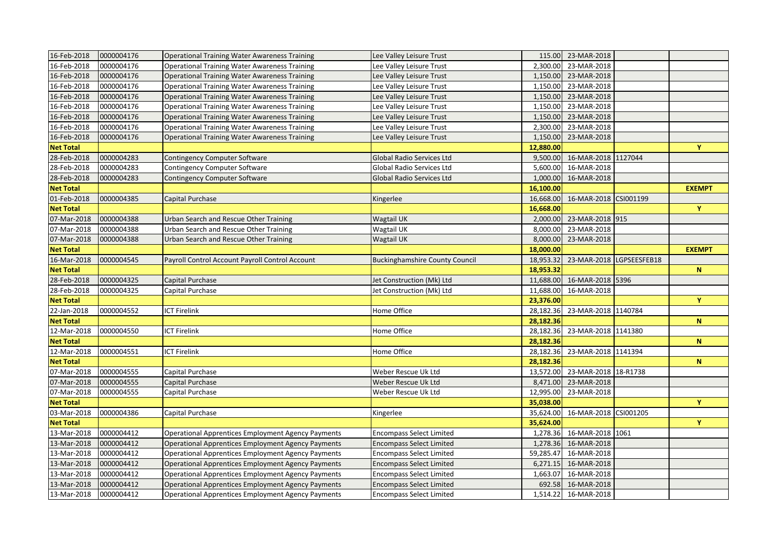| 16-Feb-2018      | 0000004176 | <b>Operational Training Water Awareness Training</b>      | Lee Valley Leisure Trust              |           | 115.00 23-MAR-2018       |               |
|------------------|------------|-----------------------------------------------------------|---------------------------------------|-----------|--------------------------|---------------|
| 16-Feb-2018      | 0000004176 | Operational Training Water Awareness Training             | Lee Valley Leisure Trust              | 2,300.00  | 23-MAR-2018              |               |
| 16-Feb-2018      | 0000004176 | <b>Operational Training Water Awareness Training</b>      | Lee Valley Leisure Trust              | 1,150.00  | 23-MAR-2018              |               |
| 16-Feb-2018      | 0000004176 | <b>Operational Training Water Awareness Training</b>      | Lee Valley Leisure Trust              | 1,150.00  | 23-MAR-2018              |               |
| 16-Feb-2018      | 0000004176 | <b>Operational Training Water Awareness Training</b>      | Lee Valley Leisure Trust              | 1,150.00  | 23-MAR-2018              |               |
| 16-Feb-2018      | 0000004176 | <b>Operational Training Water Awareness Training</b>      | Lee Valley Leisure Trust              | 1,150.00  | 23-MAR-2018              |               |
| 16-Feb-2018      | 0000004176 | <b>Operational Training Water Awareness Training</b>      | Lee Valley Leisure Trust              | 1,150.00  | 23-MAR-2018              |               |
| 16-Feb-2018      | 0000004176 | <b>Operational Training Water Awareness Training</b>      | Lee Valley Leisure Trust              | 2,300.00  | 23-MAR-2018              |               |
| 16-Feb-2018      | 0000004176 | <b>Operational Training Water Awareness Training</b>      | Lee Valley Leisure Trust              | 1,150.00  | 23-MAR-2018              |               |
| <b>Net Total</b> |            |                                                           |                                       | 12,880.00 |                          | Y             |
| 28-Feb-2018      | 0000004283 | Contingency Computer Software                             | Global Radio Services Ltd             | 9,500.00  | 16-MAR-2018 1127044      |               |
| 28-Feb-2018      | 0000004283 | Contingency Computer Software                             | Global Radio Services Ltd             | 5,600.00  | 16-MAR-2018              |               |
| 28-Feb-2018      | 0000004283 | Contingency Computer Software                             | <b>Global Radio Services Ltd</b>      | 1,000.00  | 16-MAR-2018              |               |
| <b>Net Total</b> |            |                                                           |                                       | 16,100.00 |                          | <b>EXEMPT</b> |
| 01-Feb-2018      | 0000004385 | Capital Purchase                                          | Kingerlee                             | 16,668.00 | 16-MAR-2018 CSI001199    |               |
| <b>Net Total</b> |            |                                                           |                                       | 16,668.00 |                          | $\mathbf Y$   |
| 07-Mar-2018      | 0000004388 | Urban Search and Rescue Other Training                    | Wagtail UK                            | 2,000.00  | 23-MAR-2018 915          |               |
| 07-Mar-2018      | 0000004388 | Urban Search and Rescue Other Training                    | Wagtail UK                            | 8,000.00  | 23-MAR-2018              |               |
| 07-Mar-2018      | 0000004388 | Urban Search and Rescue Other Training                    | Wagtail UK                            | 8,000.00  | 23-MAR-2018              |               |
| <b>Net Total</b> |            |                                                           |                                       | 18,000.00 |                          | <b>EXEMPT</b> |
| 16-Mar-2018      | 0000004545 | Payroll Control Account Payroll Control Account           | <b>Buckinghamshire County Council</b> | 18,953.32 | 23-MAR-2018 LGPSEESFEB18 |               |
| <b>Net Total</b> |            |                                                           |                                       | 18,953.32 |                          | ${\bf N}$     |
| 28-Feb-2018      | 0000004325 | Capital Purchase                                          | Jet Construction (Mk) Ltd             | 11,688.00 | 16-MAR-2018 5396         |               |
| 28-Feb-2018      | 0000004325 | Capital Purchase                                          | Jet Construction (Mk) Ltd             | 11,688.00 | 16-MAR-2018              |               |
| <b>Net Total</b> |            |                                                           |                                       | 23,376.00 |                          | Y             |
| 22-Jan-2018      | 0000004552 | <b>ICT Firelink</b>                                       | Home Office                           | 28,182.36 | 23-MAR-2018 1140784      |               |
| <b>Net Total</b> |            |                                                           |                                       | 28,182.36 |                          | $\mathbf N$   |
| 12-Mar-2018      | 0000004550 | <b>ICT Firelink</b>                                       | Home Office                           | 28,182.36 | 23-MAR-2018 1141380      |               |
| <b>Net Total</b> |            |                                                           |                                       | 28,182.36 |                          | ${\bf N}$     |
| 12-Mar-2018      | 0000004551 | <b>ICT Firelink</b>                                       | Home Office                           | 28,182.36 | 23-MAR-2018 1141394      |               |
| <b>Net Total</b> |            |                                                           |                                       | 28,182.36 |                          | $\mathbf N$   |
| 07-Mar-2018      | 0000004555 | Capital Purchase                                          | Weber Rescue Uk Ltd                   | 13,572.00 | 23-MAR-2018 18-R1738     |               |
| 07-Mar-2018      | 0000004555 | Capital Purchase                                          | Weber Rescue Uk Ltd                   | 8,471.00  | 23-MAR-2018              |               |
| 07-Mar-2018      | 0000004555 | Capital Purchase                                          | Weber Rescue Uk Ltd                   | 12,995.00 | 23-MAR-2018              |               |
| <b>Net Total</b> |            |                                                           |                                       | 35,038.00 |                          | Y             |
| 03-Mar-2018      | 0000004386 | Capital Purchase                                          | Kingerlee                             | 35,624.00 | 16-MAR-2018 CSI001205    |               |
| <b>Net Total</b> |            |                                                           |                                       | 35,624.00 |                          | Y             |
| 13-Mar-2018      | 0000004412 | <b>Operational Apprentices Employment Agency Payments</b> | <b>Encompass Select Limited</b>       | 1,278.36  | 16-MAR-2018 1061         |               |
| 13-Mar-2018      | 0000004412 | Operational Apprentices Employment Agency Payments        | <b>Encompass Select Limited</b>       | 1,278.36  | 16-MAR-2018              |               |
| 13-Mar-2018      | 0000004412 | Operational Apprentices Employment Agency Payments        | <b>Encompass Select Limited</b>       | 59,285.47 | 16-MAR-2018              |               |
| 13-Mar-2018      | 0000004412 | Operational Apprentices Employment Agency Payments        | <b>Encompass Select Limited</b>       | 6,271.15  | 16-MAR-2018              |               |
| 13-Mar-2018      | 0000004412 | <b>Operational Apprentices Employment Agency Payments</b> | <b>Encompass Select Limited</b>       | 1,663.07  | 16-MAR-2018              |               |
| 13-Mar-2018      | 0000004412 | <b>Operational Apprentices Employment Agency Payments</b> | <b>Encompass Select Limited</b>       |           | 692.58 16-MAR-2018       |               |
| 13-Mar-2018      | 0000004412 | <b>Operational Apprentices Employment Agency Payments</b> | <b>Encompass Select Limited</b>       |           | 1,514.22 16-MAR-2018     |               |